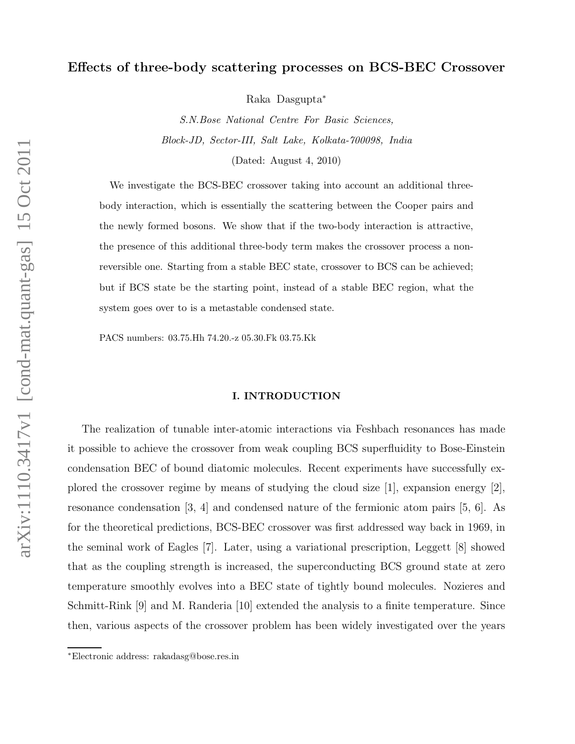# Effects of three-body scattering processes on BCS-BEC Crossover

Raka Dasgupta<sup>∗</sup>

S.N.Bose National Centre For Basic Sciences, Block-JD, Sector-III, Salt Lake, Kolkata-700098, India (Dated: August 4, 2010)

We investigate the BCS-BEC crossover taking into account an additional threebody interaction, which is essentially the scattering between the Cooper pairs and the newly formed bosons. We show that if the two-body interaction is attractive, the presence of this additional three-body term makes the crossover process a nonreversible one. Starting from a stable BEC state, crossover to BCS can be achieved; but if BCS state be the starting point, instead of a stable BEC region, what the system goes over to is a metastable condensed state.

PACS numbers: 03.75.Hh 74.20.-z 05.30.Fk 03.75.Kk

#### I. INTRODUCTION

The realization of tunable inter-atomic interactions via Feshbach resonances has made it possible to achieve the crossover from weak coupling BCS superfluidity to Bose-Einstein condensation BEC of bound diatomic molecules. Recent experiments have successfully explored the crossover regime by means of studying the cloud size  $|1|$ , expansion energy  $|2|$ , resonance condensation [3, 4] and condensed nature of the fermionic atom pairs [5, 6]. As for the theoretical predictions, BCS-BEC crossover was first addressed way back in 1969, in the seminal work of Eagles [7]. Later, using a variational prescription, Leggett [8] showed that as the coupling strength is increased, the superconducting BCS ground state at zero temperature smoothly evolves into a BEC state of tightly bound molecules. Nozieres and Schmitt-Rink [9] and M. Randeria [10] extended the analysis to a finite temperature. Since then, various aspects of the crossover problem has been widely investigated over the years

<sup>∗</sup>Electronic address: rakadasg@bose.res.in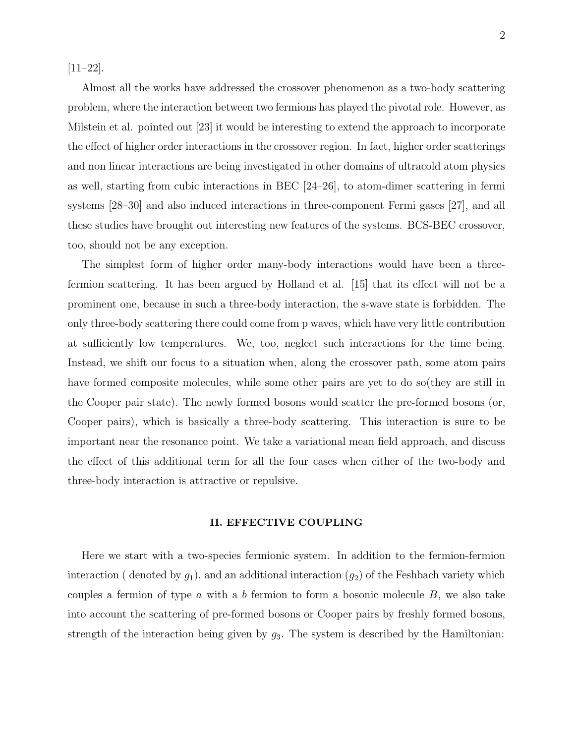[11–22].

Almost all the works have addressed the crossover phenomenon as a two-body scattering problem, where the interaction between two fermions has played the pivotal role. However, as Milstein et al. pointed out [23] it would be interesting to extend the approach to incorporate the effect of higher order interactions in the crossover region. In fact, higher order scatterings and non linear interactions are being investigated in other domains of ultracold atom physics as well, starting from cubic interactions in BEC [24–26], to atom-dimer scattering in fermi systems [28–30] and also induced interactions in three-component Fermi gases [27], and all these studies have brought out interesting new features of the systems. BCS-BEC crossover, too, should not be any exception.

The simplest form of higher order many-body interactions would have been a threefermion scattering. It has been argued by Holland et al. [15] that its effect will not be a prominent one, because in such a three-body interaction, the s-wave state is forbidden. The only three-body scattering there could come from p waves, which have very little contribution at sufficiently low temperatures. We, too, neglect such interactions for the time being. Instead, we shift our focus to a situation when, along the crossover path, some atom pairs have formed composite molecules, while some other pairs are yet to do so(they are still in the Cooper pair state). The newly formed bosons would scatter the pre-formed bosons (or, Cooper pairs), which is basically a three-body scattering. This interaction is sure to be important near the resonance point. We take a variational mean field approach, and discuss the effect of this additional term for all the four cases when either of the two-body and three-body interaction is attractive or repulsive.

### II. EFFECTIVE COUPLING

Here we start with a two-species fermionic system. In addition to the fermion-fermion interaction ( denoted by  $g_1$ ), and an additional interaction  $(g_2)$  of the Feshbach variety which couples a fermion of type  $a$  with a  $b$  fermion to form a bosonic molecule  $B$ , we also take into account the scattering of pre-formed bosons or Cooper pairs by freshly formed bosons, strength of the interaction being given by  $g_3$ . The system is described by the Hamiltonian: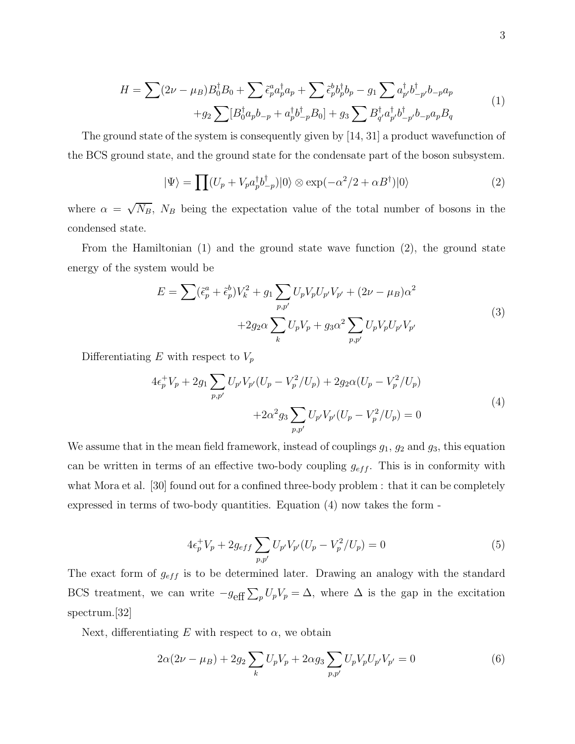$$
H = \sum (2\nu - \mu_B) B_0^{\dagger} B_0 + \sum \tilde{\epsilon}_p^a a_p^{\dagger} a_p + \sum \tilde{\epsilon}_p^b b_p^{\dagger} b_p - g_1 \sum a_p^{\dagger} b_{-p}^{\dagger} b_{-p}^{\dagger} a_p
$$
  
+ 
$$
g_2 \sum [B_0^{\dagger} a_p b_{-p} + a_p^{\dagger} b_{-p}^{\dagger} B_0] + g_3 \sum B_{q'}^{\dagger} a_p^{\dagger} b_{-p'}^{\dagger} b_{-p} a_p B_q
$$
(1)

The ground state of the system is consequently given by [14, 31] a product wavefunction of the BCS ground state, and the ground state for the condensate part of the boson subsystem.

$$
|\Psi\rangle = \prod (U_p + V_p a_p^{\dagger} b_{-p}^{\dagger}) |0\rangle \otimes \exp(-\alpha^2/2 + \alpha B^{\dagger}) |0\rangle
$$
 (2)

where  $\alpha = \sqrt{N_B}$ ,  $N_B$  being the expectation value of the total number of bosons in the condensed state.

From the Hamiltonian (1) and the ground state wave function (2), the ground state energy of the system would be

$$
E = \sum (\tilde{\epsilon}_p^a + \tilde{\epsilon}_p^b) V_k^2 + g_1 \sum_{p,p'} U_p V_p U_{p'} V_{p'} + (2\nu - \mu_B) \alpha^2 + 2g_2 \alpha \sum_k U_p V_p + g_3 \alpha^2 \sum_{p,p'} U_p V_p U_{p'} V_{p'} \tag{3}
$$

Differentiating  $E$  with respect to  $V_p$ 

$$
4\epsilon_p^+ V_p + 2g_1 \sum_{p,p'} U_{p'} V_{p'} (U_p - V_p^2 / U_p) + 2g_2 \alpha (U_p - V_p^2 / U_p)
$$
  
+2\alpha^2 g\_3 \sum\_{p,p'} U\_{p'} V\_{p'} (U\_p - V\_p^2 / U\_p) = 0 (4)

We assume that in the mean field framework, instead of couplings  $g_1$ ,  $g_2$  and  $g_3$ , this equation can be written in terms of an effective two-body coupling  $g_{eff}$ . This is in conformity with what Mora et al. [30] found out for a confined three-body problem : that it can be completely expressed in terms of two-body quantities. Equation (4) now takes the form -

$$
4\epsilon_p^+ V_p + 2g_{eff} \sum_{p,p'} U_{p'} V_{p'} (U_p - V_p^2 / U_p) = 0
$$
\n(5)

The exact form of  $g_{eff}$  is to be determined later. Drawing an analogy with the standard BCS treatment, we can write  $-g_{\text{eff}}\sum_{p}U_{p}V_{p}=\Delta$ , where  $\Delta$  is the gap in the excitation spectrum.[32]

Next, differentiating E with respect to  $\alpha$ , we obtain

$$
2\alpha(2\nu - \mu_B) + 2g_2 \sum_k U_p V_p + 2\alpha g_3 \sum_{p,p'} U_p V_p U_{p'} V_{p'} = 0
$$
\n(6)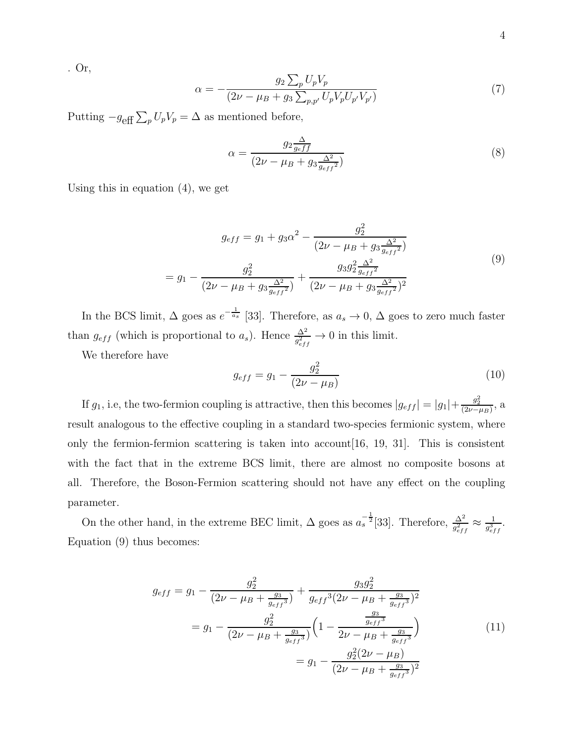. Or,

$$
\alpha = -\frac{g_2 \sum_p U_p V_p}{(2\nu - \mu_B + g_3 \sum_{p, p'} U_p V_p U_{p'} V_{p'})}
$$
(7)

Putting  $-g_{\text{eff}}\sum_{p}U_{p}V_{p} = \Delta$  as mentioned before,

$$
\alpha = \frac{g_2 \frac{\Delta}{g_{eff}}}{(2\nu - \mu_B + g_3 \frac{\Delta^2}{g_{eff}^2})}
$$
\n(8)

Using this in equation (4), we get

$$
g_{eff} = g_1 + g_3 \alpha^2 - \frac{g_2^2}{(2\nu - \mu_B + g_3 \frac{\Delta^2}{g_{eff}^2})}
$$

$$
= g_1 - \frac{g_2^2}{(2\nu - \mu_B + g_3 \frac{\Delta^2}{g_{eff}^2})} + \frac{g_3 g_2^2 \frac{\Delta^2}{g_{eff}^2}}{(2\nu - \mu_B + g_3 \frac{\Delta^2}{g_{eff}^2})^2}
$$
(9)

In the BCS limit,  $\Delta$  goes as  $e^{-\frac{1}{a_s}}$  [33]. Therefore, as  $a_s \to 0$ ,  $\Delta$  goes to zero much faster than  $g_{eff}$  (which is proportional to  $a_s$ ). Hence  $\frac{\Delta^2}{g_{eff}^2} \to 0$  in this limit.

We therefore have

$$
g_{eff} = g_1 - \frac{g_2^2}{(2\nu - \mu_B)}
$$
(10)

If  $g_1$ , i.e, the two-fermion coupling is attractive, then this becomes  $|g_{eff}| = |g_1| + \frac{g_2^2}{(2\nu - \mu_B)}$ , a result analogous to the effective coupling in a standard two-species fermionic system, where only the fermion-fermion scattering is taken into account  $[16, 19, 31]$ . This is consistent with the fact that in the extreme BCS limit, there are almost no composite bosons at all. Therefore, the Boson-Fermion scattering should not have any effect on the coupling parameter.

On the other hand, in the extreme BEC limit,  $\Delta$  goes as  $a_s^{-\frac{1}{2}}[33]$ . Therefore,  $\frac{\Delta^2}{g_{eff}^2} \approx \frac{1}{g_{eff}^3}$  $\frac{1}{g_{eff}^3}$ . Equation (9) thus becomes:

$$
g_{eff} = g_1 - \frac{g_2^2}{(2\nu - \mu_B + \frac{g_3}{g_{eff}^3})} + \frac{g_3 g_2^2}{g_{eff}^3 (2\nu - \mu_B + \frac{g_3}{g_{eff}^3})^2}
$$
  
=  $g_1 - \frac{g_2^2}{(2\nu - \mu_B + \frac{g_3}{g_{eff}^3})} \left(1 - \frac{\frac{g_3^2}{g_{eff}^3}}{2\nu - \mu_B + \frac{g_3}{g_{eff}^3}}\right)$  (11)  
=  $g_1 - \frac{g_2^2 (2\nu - \mu_B)}{(2\nu - \mu_B + \frac{g_3}{g_{eff}^3})^2}$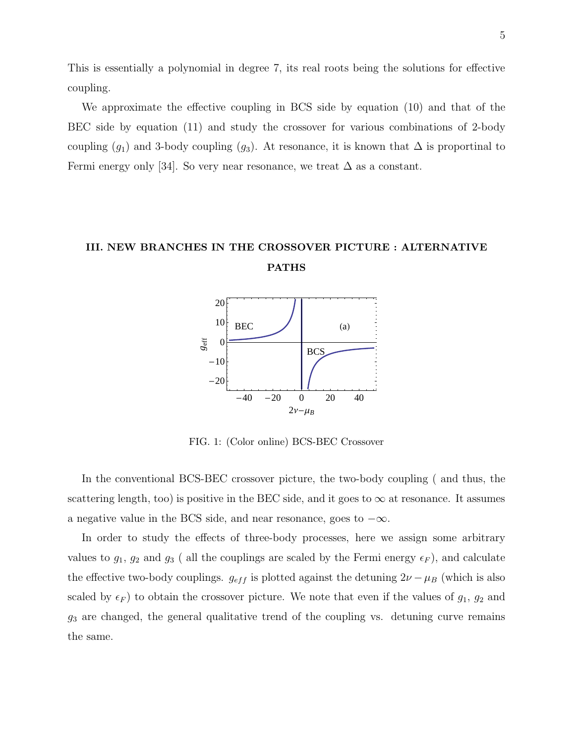This is essentially a polynomial in degree 7, its real roots being the solutions for effective coupling.

We approximate the effective coupling in BCS side by equation (10) and that of the BEC side by equation (11) and study the crossover for various combinations of 2-body coupling  $(g_1)$  and 3-body coupling  $(g_3)$ . At resonance, it is known that  $\Delta$  is proportinal to Fermi energy only [34]. So very near resonance, we treat  $\Delta$  as a constant.

# III. NEW BRANCHES IN THE CROSSOVER PICTURE : ALTERNATIVE PATHS



FIG. 1: (Color online) BCS-BEC Crossover

In the conventional BCS-BEC crossover picture, the two-body coupling ( and thus, the scattering length, too) is positive in the BEC side, and it goes to  $\infty$  at resonance. It assumes a negative value in the BCS side, and near resonance, goes to  $-\infty$ .

In order to study the effects of three-body processes, here we assign some arbitrary values to  $g_1, g_2$  and  $g_3$  ( all the couplings are scaled by the Fermi energy  $\epsilon_F$ ), and calculate the effective two-body couplings.  $g_{eff}$  is plotted against the detuning  $2\nu - \mu_B$  (which is also scaled by  $\epsilon_F$ ) to obtain the crossover picture. We note that even if the values of  $g_1, g_2$  and  $g_3$  are changed, the general qualitative trend of the coupling vs. detuning curve remains the same.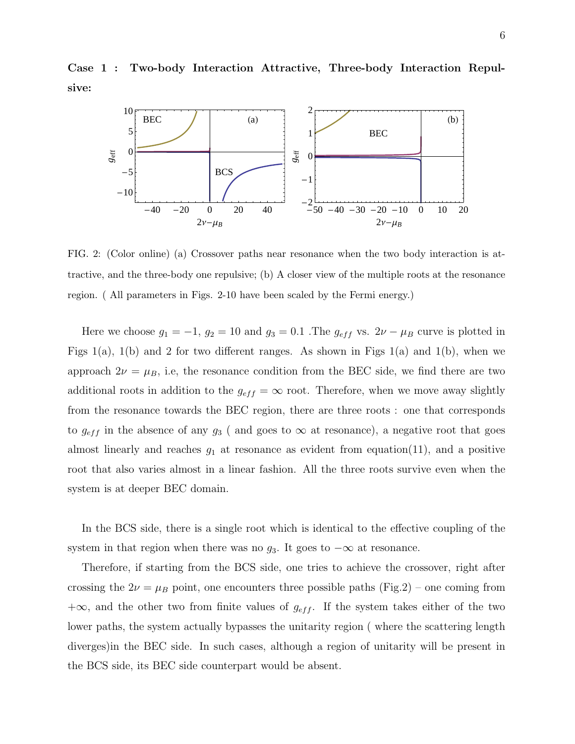Case 1 : Two-body Interaction Attractive, Three-body Interaction Repulsive:



FIG. 2: (Color online) (a) Crossover paths near resonance when the two body interaction is attractive, and the three-body one repulsive; (b) A closer view of the multiple roots at the resonance region. ( All parameters in Figs. 2-10 have been scaled by the Fermi energy.)

Here we choose  $g_1 = -1$ ,  $g_2 = 10$  and  $g_3 = 0.1$ . The  $g_{eff}$  vs.  $2\nu - \mu_B$  curve is plotted in Figs  $1(a)$ ,  $1(b)$  and 2 for two different ranges. As shown in Figs  $1(a)$  and  $1(b)$ , when we approach  $2\nu = \mu_B$ , i.e, the resonance condition from the BEC side, we find there are two additional roots in addition to the  $g_{eff} = \infty$  root. Therefore, when we move away slightly from the resonance towards the BEC region, there are three roots : one that corresponds to  $g_{eff}$  in the absence of any  $g_3$  ( and goes to  $\infty$  at resonance), a negative root that goes almost linearly and reaches  $g_1$  at resonance as evident from equation(11), and a positive root that also varies almost in a linear fashion. All the three roots survive even when the system is at deeper BEC domain.

In the BCS side, there is a single root which is identical to the effective coupling of the system in that region when there was no  $g_3$ . It goes to  $-\infty$  at resonance.

Therefore, if starting from the BCS side, one tries to achieve the crossover, right after crossing the  $2\nu = \mu_B$  point, one encounters three possible paths (Fig.2) – one coming from +∞, and the other two from finite values of  $g_{eff}$ . If the system takes either of the two lower paths, the system actually bypasses the unitarity region ( where the scattering length diverges)in the BEC side. In such cases, although a region of unitarity will be present in the BCS side, its BEC side counterpart would be absent.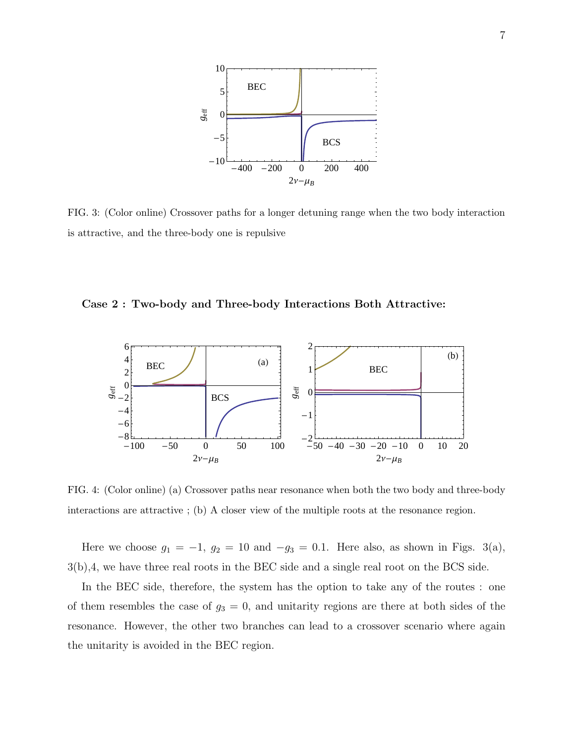

FIG. 3: (Color online) Crossover paths for a longer detuning range when the two body interaction is attractive, and the three-body one is repulsive

Case 2 : Two-body and Three-body Interactions Both Attractive:



FIG. 4: (Color online) (a) Crossover paths near resonance when both the two body and three-body interactions are attractive ; (b) A closer view of the multiple roots at the resonance region.

Here we choose  $g_1 = -1$ ,  $g_2 = 10$  and  $-g_3 = 0.1$ . Here also, as shown in Figs. 3(a), 3(b),4, we have three real roots in the BEC side and a single real root on the BCS side.

In the BEC side, therefore, the system has the option to take any of the routes : one of them resembles the case of  $g_3 = 0$ , and unitarity regions are there at both sides of the resonance. However, the other two branches can lead to a crossover scenario where again the unitarity is avoided in the BEC region.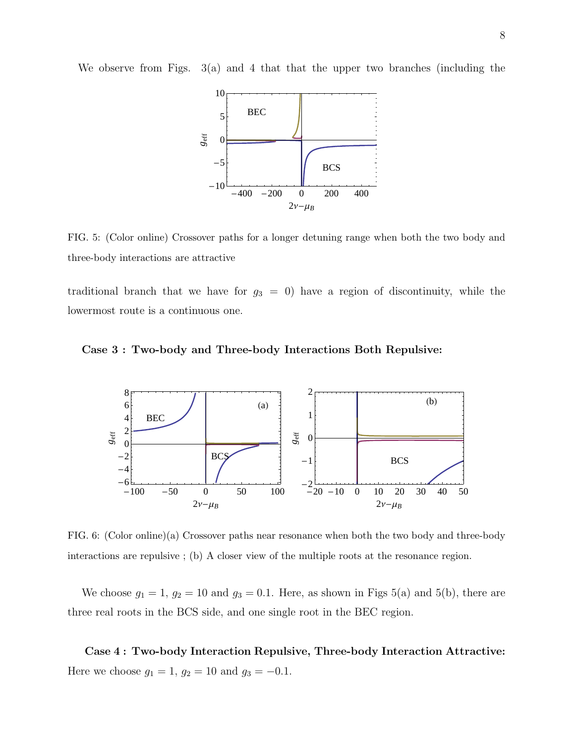We observe from Figs. 3(a) and 4 that that the upper two branches (including the



FIG. 5: (Color online) Crossover paths for a longer detuning range when both the two body and three-body interactions are attractive

traditional branch that we have for  $g_3 = 0$ ) have a region of discontinuity, while the lowermost route is a continuous one.

Case 3 : Two-body and Three-body Interactions Both Repulsive:



FIG. 6: (Color online)(a) Crossover paths near resonance when both the two body and three-body interactions are repulsive ; (b) A closer view of the multiple roots at the resonance region.

We choose  $g_1 = 1$ ,  $g_2 = 10$  and  $g_3 = 0.1$ . Here, as shown in Figs 5(a) and 5(b), there are three real roots in the BCS side, and one single root in the BEC region.

Case 4 : Two-body Interaction Repulsive, Three-body Interaction Attractive: Here we choose  $g_1 = 1$ ,  $g_2 = 10$  and  $g_3 = -0.1$ .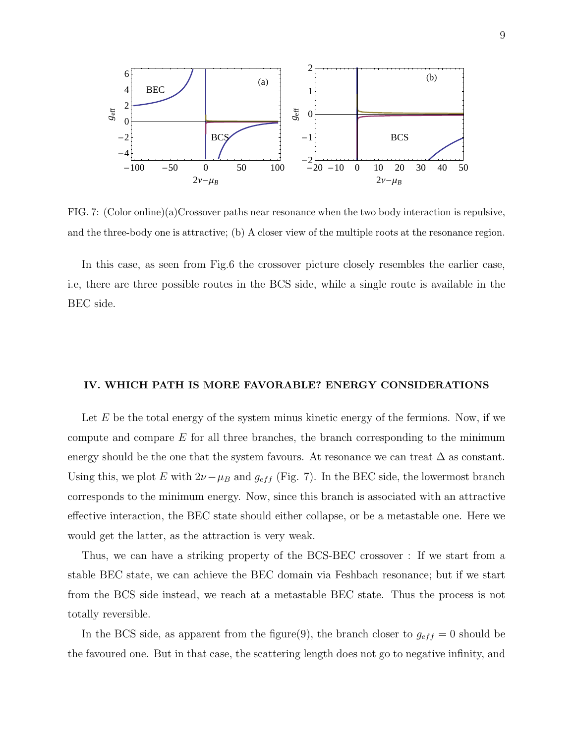

FIG. 7: (Color online)(a)Crossover paths near resonance when the two body interaction is repulsive, and the three-body one is attractive; (b) A closer view of the multiple roots at the resonance region.

In this case, as seen from Fig.6 the crossover picture closely resembles the earlier case, i.e, there are three possible routes in the BCS side, while a single route is available in the BEC side.

# IV. WHICH PATH IS MORE FAVORABLE? ENERGY CONSIDERATIONS

Let  $E$  be the total energy of the system minus kinetic energy of the fermions. Now, if we compute and compare  $E$  for all three branches, the branch corresponding to the minimum energy should be the one that the system favours. At resonance we can treat  $\Delta$  as constant. Using this, we plot E with  $2\nu-\mu_B$  and  $g_{eff}$  (Fig. 7). In the BEC side, the lowermost branch corresponds to the minimum energy. Now, since this branch is associated with an attractive effective interaction, the BEC state should either collapse, or be a metastable one. Here we would get the latter, as the attraction is very weak.

Thus, we can have a striking property of the BCS-BEC crossover : If we start from a stable BEC state, we can achieve the BEC domain via Feshbach resonance; but if we start from the BCS side instead, we reach at a metastable BEC state. Thus the process is not totally reversible.

In the BCS side, as apparent from the figure(9), the branch closer to  $g_{eff} = 0$  should be the favoured one. But in that case, the scattering length does not go to negative infinity, and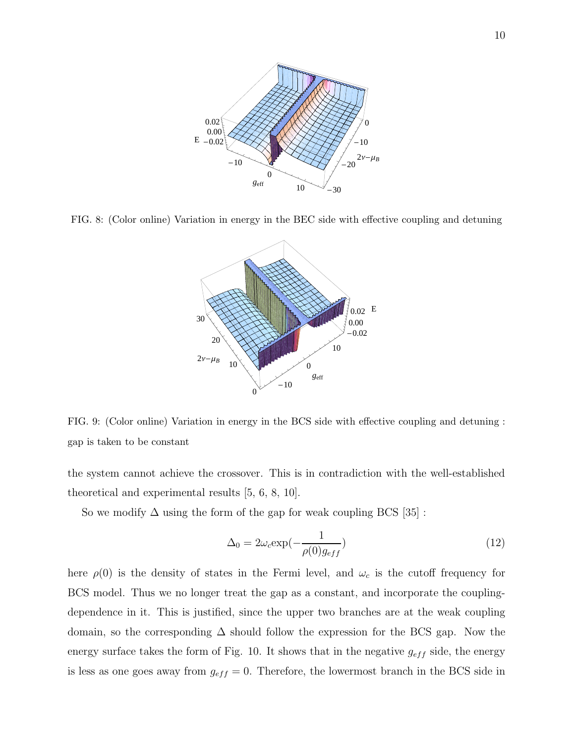

FIG. 8: (Color online) Variation in energy in the BEC side with effective coupling and detuning



FIG. 9: (Color online) Variation in energy in the BCS side with effective coupling and detuning : gap is taken to be constant

the system cannot achieve the crossover. This is in contradiction with the well-established theoretical and experimental results [5, 6, 8, 10].

So we modify  $\Delta$  using the form of the gap for weak coupling BCS [35]:

$$
\Delta_0 = 2\omega_c \exp(-\frac{1}{\rho(0)g_{eff}})
$$
\n(12)

here  $\rho(0)$  is the density of states in the Fermi level, and  $\omega_c$  is the cutoff frequency for BCS model. Thus we no longer treat the gap as a constant, and incorporate the couplingdependence in it. This is justified, since the upper two branches are at the weak coupling domain, so the corresponding  $\Delta$  should follow the expression for the BCS gap. Now the energy surface takes the form of Fig. 10. It shows that in the negative  $g_{eff}$  side, the energy is less as one goes away from  $g_{eff} = 0$ . Therefore, the lowermost branch in the BCS side in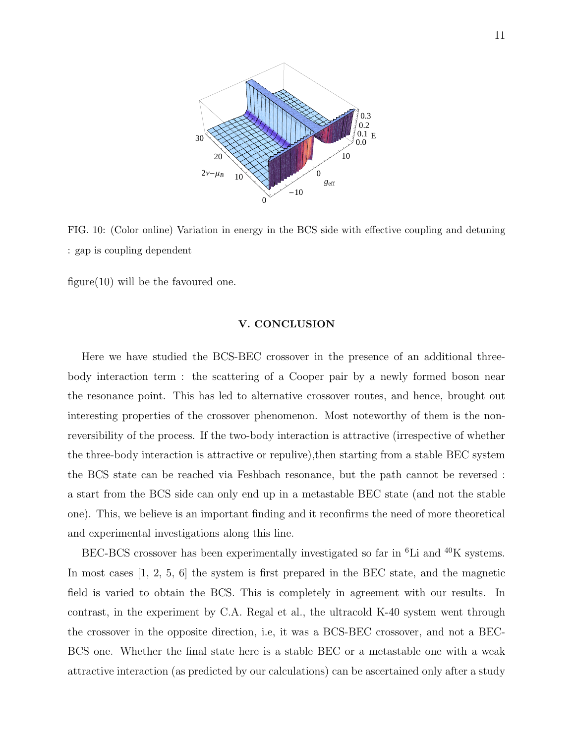

FIG. 10: (Color online) Variation in energy in the BCS side with effective coupling and detuning : gap is coupling dependent

figure(10) will be the favoured one.

# V. CONCLUSION

Here we have studied the BCS-BEC crossover in the presence of an additional threebody interaction term : the scattering of a Cooper pair by a newly formed boson near the resonance point. This has led to alternative crossover routes, and hence, brought out interesting properties of the crossover phenomenon. Most noteworthy of them is the nonreversibility of the process. If the two-body interaction is attractive (irrespective of whether the three-body interaction is attractive or repulive),then starting from a stable BEC system the BCS state can be reached via Feshbach resonance, but the path cannot be reversed : a start from the BCS side can only end up in a metastable BEC state (and not the stable one). This, we believe is an important finding and it reconfirms the need of more theoretical and experimental investigations along this line.

BEC-BCS crossover has been experimentally investigated so far in <sup>6</sup>Li and <sup>40</sup>K systems. In most cases [1, 2, 5, 6] the system is first prepared in the BEC state, and the magnetic field is varied to obtain the BCS. This is completely in agreement with our results. In contrast, in the experiment by C.A. Regal et al., the ultracold K-40 system went through the crossover in the opposite direction, i.e, it was a BCS-BEC crossover, and not a BEC-BCS one. Whether the final state here is a stable BEC or a metastable one with a weak attractive interaction (as predicted by our calculations) can be ascertained only after a study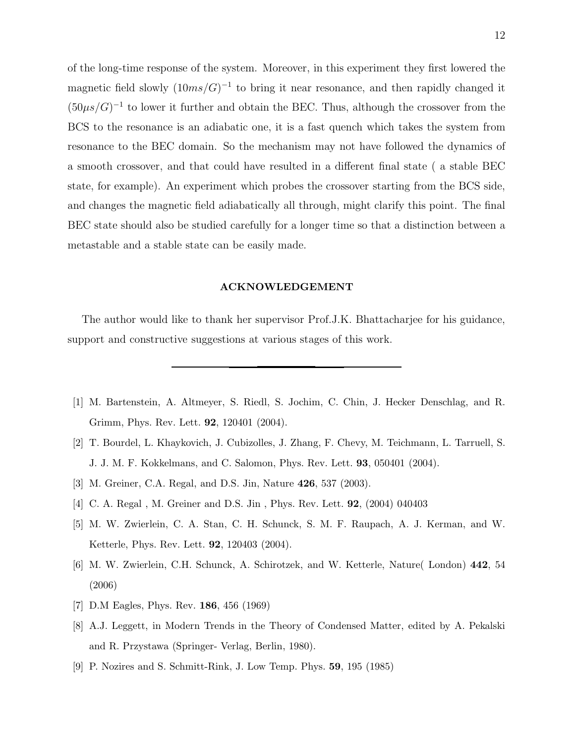of the long-time response of the system. Moreover, in this experiment they first lowered the magnetic field slowly  $(10ms/G)^{-1}$  to bring it near resonance, and then rapidly changed it  $(50\mu s/G)^{-1}$  to lower it further and obtain the BEC. Thus, although the crossover from the BCS to the resonance is an adiabatic one, it is a fast quench which takes the system from resonance to the BEC domain. So the mechanism may not have followed the dynamics of a smooth crossover, and that could have resulted in a different final state ( a stable BEC state, for example). An experiment which probes the crossover starting from the BCS side, and changes the magnetic field adiabatically all through, might clarify this point. The final BEC state should also be studied carefully for a longer time so that a distinction between a metastable and a stable state can be easily made.

### ACKNOWLEDGEMENT

The author would like to thank her supervisor Prof.J.K. Bhattacharjee for his guidance, support and constructive suggestions at various stages of this work.

- [1] M. Bartenstein, A. Altmeyer, S. Riedl, S. Jochim, C. Chin, J. Hecker Denschlag, and R. Grimm, Phys. Rev. Lett. 92, 120401 (2004).
- [2] T. Bourdel, L. Khaykovich, J. Cubizolles, J. Zhang, F. Chevy, M. Teichmann, L. Tarruell, S. J. J. M. F. Kokkelmans, and C. Salomon, Phys. Rev. Lett. 93, 050401 (2004).
- [3] M. Greiner, C.A. Regal, and D.S. Jin, Nature 426, 537 (2003).
- [4] C. A. Regal , M. Greiner and D.S. Jin , Phys. Rev. Lett. 92, (2004) 040403
- [5] M. W. Zwierlein, C. A. Stan, C. H. Schunck, S. M. F. Raupach, A. J. Kerman, and W. Ketterle, Phys. Rev. Lett. 92, 120403 (2004).
- [6] M. W. Zwierlein, C.H. Schunck, A. Schirotzek, and W. Ketterle, Nature( London) 442, 54 (2006)
- [7] D.M Eagles, Phys. Rev. 186, 456 (1969)
- [8] A.J. Leggett, in Modern Trends in the Theory of Condensed Matter, edited by A. Pekalski and R. Przystawa (Springer- Verlag, Berlin, 1980).
- [9] P. Nozires and S. Schmitt-Rink, J. Low Temp. Phys. 59, 195 (1985)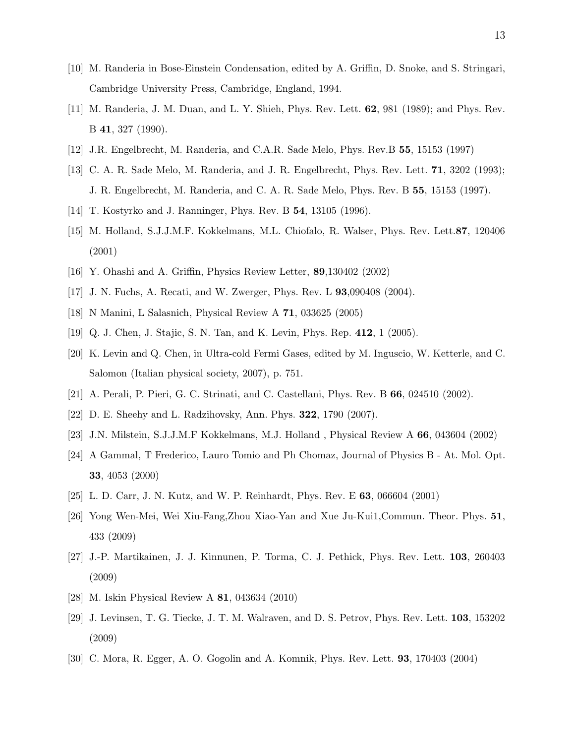- [10] M. Randeria in Bose-Einstein Condensation, edited by A. Griffin, D. Snoke, and S. Stringari, Cambridge University Press, Cambridge, England, 1994.
- [11] M. Randeria, J. M. Duan, and L. Y. Shieh, Phys. Rev. Lett. 62, 981 (1989); and Phys. Rev. B 41, 327 (1990).
- [12] J.R. Engelbrecht, M. Randeria, and C.A.R. Sade Melo, Phys. Rev.B 55, 15153 (1997)
- [13] C. A. R. Sade Melo, M. Randeria, and J. R. Engelbrecht, Phys. Rev. Lett. 71, 3202 (1993); J. R. Engelbrecht, M. Randeria, and C. A. R. Sade Melo, Phys. Rev. B 55, 15153 (1997).
- [14] T. Kostyrko and J. Ranninger, Phys. Rev. B 54, 13105 (1996).
- [15] M. Holland, S.J.J.M.F. Kokkelmans, M.L. Chiofalo, R. Walser, Phys. Rev. Lett.87, 120406 (2001)
- [16] Y. Ohashi and A. Griffin, Physics Review Letter, 89,130402 (2002)
- [17] J. N. Fuchs, A. Recati, and W. Zwerger, Phys. Rev. L 93,090408 (2004).
- [18] N Manini, L Salasnich, Physical Review A 71, 033625 (2005)
- [19] Q. J. Chen, J. Stajic, S. N. Tan, and K. Levin, Phys. Rep. 412, 1 (2005).
- [20] K. Levin and Q. Chen, in Ultra-cold Fermi Gases, edited by M. Inguscio, W. Ketterle, and C. Salomon (Italian physical society, 2007), p. 751.
- [21] A. Perali, P. Pieri, G. C. Strinati, and C. Castellani, Phys. Rev. B 66, 024510 (2002).
- [22] D. E. Sheehy and L. Radzihovsky, Ann. Phys. 322, 1790 (2007).
- [23] J.N. Milstein, S.J.J.M.F Kokkelmans, M.J. Holland , Physical Review A 66, 043604 (2002)
- [24] A Gammal, T Frederico, Lauro Tomio and Ph Chomaz, Journal of Physics B At. Mol. Opt. 33, 4053 (2000)
- [25] L. D. Carr, J. N. Kutz, and W. P. Reinhardt, Phys. Rev. E 63, 066604 (2001)
- [26] Yong Wen-Mei, Wei Xiu-Fang,Zhou Xiao-Yan and Xue Ju-Kui1,Commun. Theor. Phys. 51, 433 (2009)
- [27] J.-P. Martikainen, J. J. Kinnunen, P. Torma, C. J. Pethick, Phys. Rev. Lett. 103, 260403 (2009)
- [28] M. Iskin Physical Review A 81, 043634 (2010)
- [29] J. Levinsen, T. G. Tiecke, J. T. M. Walraven, and D. S. Petrov, Phys. Rev. Lett. 103, 153202 (2009)
- [30] C. Mora, R. Egger, A. O. Gogolin and A. Komnik, Phys. Rev. Lett. 93, 170403 (2004)